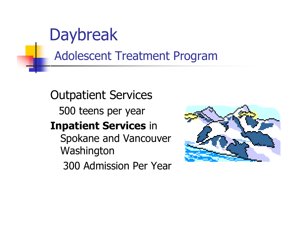### **Daybreak**

#### Adolescent Treatment Program m

Outpatient Services 500 teens per year **Inpatient Services** in Spokane and Vancouver **Washington** 300 Admission Per Year

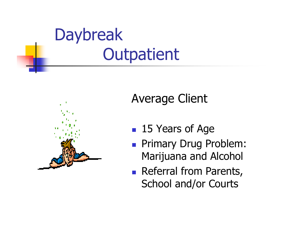



#### Average Client

- 15 Years of Age
- **Primary Drug Problem:** Marijuana and Alcohol
- **Referral from Parents,** School and/or Courts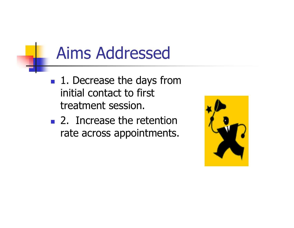## Aims Addressed

- $\blacksquare$  1. Decrease the days from initial contact to first treatment session.
- $\blacksquare$  2. Increase the retention rate across appointments.

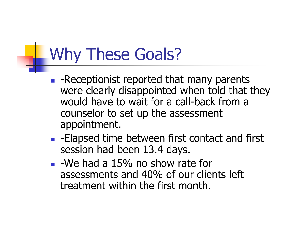# Why These Goals?

- -Receptionist reported that many parents were clearly disappointed when told that they would have to wait for a call-back from a counselor to set up the assessment appointment.
- $\blacksquare$  -Elapsed time between first contact and first session had been 13.4 days.
- $\blacksquare$  -We had a 15% no show rate for assessments and 40% of our clients left treatment within the first month.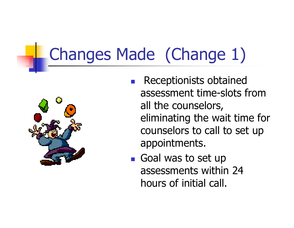# Changes Made (Change 1)



- Receptionists obtained assessment time-slots from all the counselors, eliminating the wait time for counselors to call to set up appointments.
- $\blacksquare$  Goal was to set up assessments within 24 hours of initial call.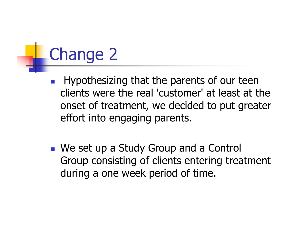# Change 2

- Hypothesizing that the parents of our teen clients were the real 'customer' at least at the onset of treatment, we decided to put greater effort into engaging parents.
- We set up a Study Group and a Control Group consisting of clients entering treatment during a one week period of time.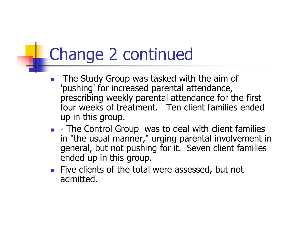# Change 2 continued

- The Study Group was tasked with the aim of 'pushing' for increased parental attendance, prescribing weekly parental attendance for the first four weeks of treatment. Ten client families ended up in this group.
- $\blacksquare$  The Control Group was to deal with client families in "the usual manner," urging parental involvement in general, but not pushing for it. Seven client families ended up in this group.
- $\blacksquare$  Five clients of the total were assessed, but not admitted.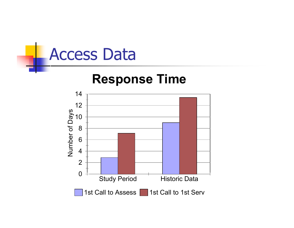

#### **Response Time**

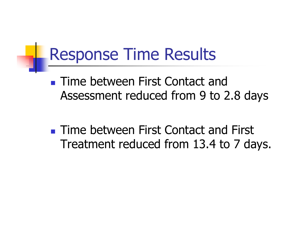## Response Time Results

**Time between First Contact and** Assessment reduced from 9 to 2.8 days

**Time between First Contact and First** Treatment reduced from 13.4 to 7 days.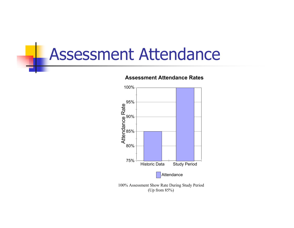### Assessment Attendance



#### **Assessment Attendance Rates**

(Up from 85%)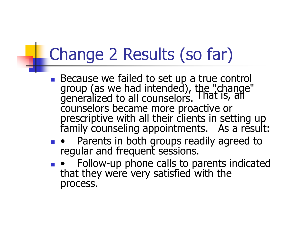#### Change 2 Results (so far) FI.

- Because we failed to set up a true control group (as we had intended), the "change" generalized to all counselors. That is, all counselors became more proactive or prescriptive with all their clients in setting up family counseling appointments. As a result:
- Parents in both groups readily agreed to regular and frequent sessions.
- Follow-up phone calls to parents indicated that they were very satisfied with the process.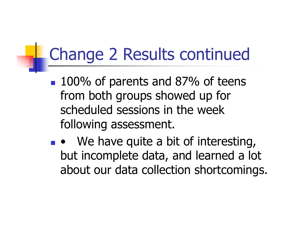# Change 2 Results continued

- **100% of parents and 87% of teens** from both groups showed up for scheduled sessions in the week following assessment.
- $\bullet$  We have quite a bit of interesting, but incomplete data, and learned a lot about our data collection shortcomings.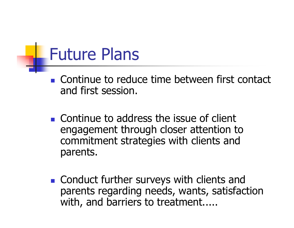## Future Plans

- $\blacksquare$  Continue to reduce time between first contact and first session.
- $\blacksquare$  Continue to address the issue of client engagement through closer attention to commitment strategies with clients and parents.
- Conduct further surveys with clients and parents regarding needs, wants, satisfaction with, and barriers to treatment.....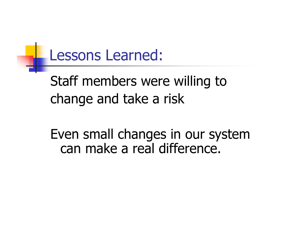#### Lessons Learned:

### Staff members were willing to change and take a risk

Even small changes in our system can make a real difference.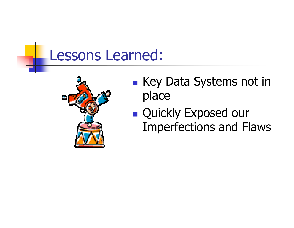#### Lessons Learned:



- **EXEGY Data Systems not in** place
- **Quickly Exposed our** Imperfections and Flaws